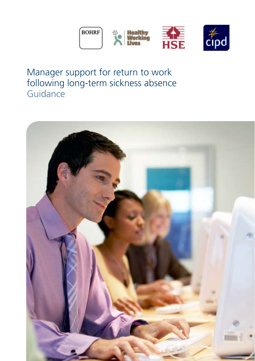

Manager support for return to work following long-term sickness absence **Guidance** 

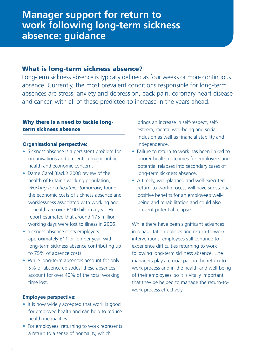# **Manager support for return to work following long-term sickness absence: guidance**

# What is long-term sickness absence?

Long-term sickness absence is typically defined as four weeks or more continuous absence. Currently, the most prevalent conditions responsible for long-term absences are stress, anxiety and depression, back pain, coronary heart disease and cancer, with all of these predicted to increase in the years ahead.

## Why there is a need to tackle longterm sickness absence

### **Organisational perspective:**

- Sickness absence is a persistent problem for organisations and presents a major public health and economic concern.
- Dame Carol Black's 2008 review of the health of Britain's working population, *Working for a healthier tomorrow*, found the economic costs of sickness absence and worklessness associated with working age ill-health are over £100 billion a year. Her report estimated that around 175 million working days were lost to illness in 2006.
- Sickness absence costs employers approximately £11 billion per year, with long-term sickness absence contributing up to 75% of absence costs.
- While long-term absences account for only 5% of absence episodes, these absences account for over 40% of the total working time lost.

#### **Employee perspective:**

- It is now widely accepted that work is good for employee health and can help to reduce health inequalities.
- For employees, returning to work represents a return to a sense of normality, which

brings an increase in self-respect, selfesteem, mental well-being and social inclusion as well as financial stability and independence.

- Failure to return to work has been linked to poorer health outcomes for employees and potential relapses into secondary cases of long-term sickness absence.
- A timely, well-planned and well-executed return-to-work process will have substantial positive benefits for an employee's wellbeing and rehabilitation and could also prevent potential relapses.

While there have been significant advances in rehabilitation policies and return-to-work interventions, employees still continue to experience difficulties returning to work following long-term sickness absence. Line managers play a crucial part in the return-towork process and in the health and well-being of their employees, so it is vitally important that they be helped to manage the return-towork process effectively.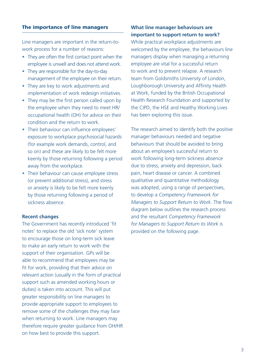### The importance of line managers

Line managers are important in the return-towork process for a number of reasons:

- They are often the first contact point when the employee is unwell and does not attend work.
- They are responsible for the day-to-day management of the employee on their return.
- They are key to work adjustments and implementation of work redesign initiatives.
- They may be the first person called upon by the employee when they need to meet HR/ occupational health (OH) for advice on their condition and the return to work.
- Their behaviour can influence employees' exposure to workplace psychosocial hazards (for example work demands, control, and so on) and these are likely to be felt more keenly by those returning following a period away from the workplace.
- Their behaviour can cause employee stress (or prevent additional stress), and stress or anxiety is likely to be felt more keenly by those returning following a period of sickness absence.

#### **Recent changes**

The Government has recently introduced 'fit notes' to replace the old 'sick note' system to encourage those on long-term sick leave to make an early return to work with the support of their organisation. GPs will be able to recommend that employees may be fit for work, providing that their advice on relevant action (usually in the form of practical support such as amended working hours or duties) is taken into account. This will put greater responsibility on line managers to provide appropriate support to employees to remove some of the challenges they may face when returning to work. Line managers may therefore require greater guidance from OH/HR on how best to provide this support.

# **What line manager behaviours are important to support return to work?**

While practical workplace adjustments are welcomed by the employee, the behaviours line managers display when managing a returning employee are vital for a successful return to work and to prevent relapse. A research team from Goldsmiths University of London, Loughborough University and Affinity Health at Work, funded by the British Occupational Health Research Foundation and supported by the CIPD, the HSE and Healthy Working Lives has been exploring this issue.

The research aimed to identify both the positive manager behaviours needed and negative behaviours that should be avoided to bring about an employee's successful return to work following long-term sickness absence due to stress, anxiety and depression, back pain, heart disease or cancer. A combined qualitative and quantitative methodology was adopted, using a range of perspectives, to develop a *Competency Framework for Managers to Support Return to Work*. The flow diagram below outlines the research process and the resultant *Competency Framework for Managers to Support Return to Work* is provided on the following page.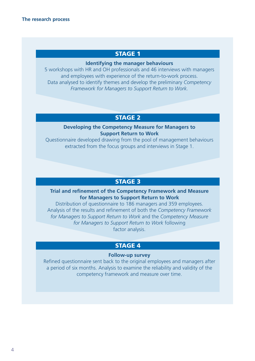# STAGE 1

### **Identifying the manager behaviours**

5 workshops with HR and OH professionals and 46 interviews with managers and employees with experience of the return-to-work process. Data analysed to identify themes and develop the preliminary *Competency Framework for Managers to Support Return to Work.* 

# STAGE 2

#### **Developing the Competency Measure for Managers to Support Return to Work**

Questionnaire developed drawing from the pool of management behaviours extracted from the focus groups and interviews in Stage 1.

# STAGE 3

# **Trial and refinement of the Competency Framework and Measure for Managers to Support Return to Work**

Distribution of questionnaire to 186 managers and 359 employees. Analysis of the results and refinement of both the *Competency Framework for Managers to Support Return to Work* and the *Competency Measure for Managers to Support Return to Work* following factor analysis.

# STAGE 4

### **Follow-up survey**

Refined questionnaire sent back to the original employees and managers after a period of six months. Analysis to examine the reliability and validity of the competency framework and measure over time.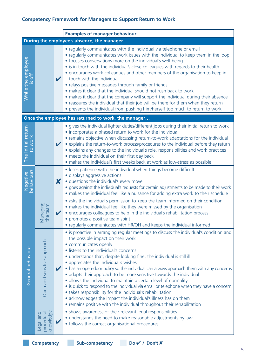# **Competency Framework for Managers to Support Return to Work**

|                                                     |                                      |   | <b>Examples of manager behaviour</b>                                                                                                                                                                                                                                                                                                                                                                                                                                                                                                                                                                                                                                                                                                                                                                                                                               |
|-----------------------------------------------------|--------------------------------------|---|--------------------------------------------------------------------------------------------------------------------------------------------------------------------------------------------------------------------------------------------------------------------------------------------------------------------------------------------------------------------------------------------------------------------------------------------------------------------------------------------------------------------------------------------------------------------------------------------------------------------------------------------------------------------------------------------------------------------------------------------------------------------------------------------------------------------------------------------------------------------|
|                                                     |                                      |   | During the employee's absence, the manager                                                                                                                                                                                                                                                                                                                                                                                                                                                                                                                                                                                                                                                                                                                                                                                                                         |
| While the employee<br>$\frac{1}{15}$ off            |                                      | V | • regularly communicates with the individual via telephone or email<br>• regularly communicates work issues with the individual to keep them in the loop<br>• focuses conversations more on the individual's well-being<br>• is in touch with the individual's close colleagues with regards to their health<br>• encourages work colleagues and other members of the organisation to keep in<br>touch with the individual<br>• relays positive messages through family or friends<br>• makes it clear that the individual should not rush back to work<br>• makes it clear that the company will support the individual during their absence<br>• reassures the individual that their job will be there for them when they return<br>• prevents the individual from pushing him/herself too much to return to work                                                |
| Once the employee has returned to work, the manager |                                      |   |                                                                                                                                                                                                                                                                                                                                                                                                                                                                                                                                                                                                                                                                                                                                                                                                                                                                    |
| The initial return<br>to work                       |                                      |   | • gives the individual lighter duties/different jobs during their initial return to work<br>• incorporates a phased return to work for the individual<br>• remains objective when discussing return-to-work adaptations for the individual<br>• explains the return-to-work process/procedures to the individual before they return<br>• explains any changes to the individual's role, responsibilities and work practices<br>• meets the individual on their first day back<br>· makes the individual's first weeks back at work as low-stress as possible                                                                                                                                                                                                                                                                                                       |
| behaviours<br>Negative                              |                                      | X | • loses patience with the individual when things become difficult<br>• displays aggressive actions<br>• questions the individual's every move<br>· goes against the individual's requests for certain adjustments to be made to their work<br>• makes the individual feel like a nuisance for adding extra work to their schedule                                                                                                                                                                                                                                                                                                                                                                                                                                                                                                                                  |
| General behaviour                                   | Managing<br>the team                 | ✔ | · asks the individual's permission to keep the team informed on their condition<br>• makes the individual feel like they were missed by the organisation<br>• encourages colleagues to help in the individual's rehabilitation process<br>• promotes a positive team spirit<br>• regularly communicates with HR/OH and keeps the individual informed                                                                                                                                                                                                                                                                                                                                                                                                                                                                                                               |
|                                                     | Open and sensitive approach          |   | • is proactive in arranging regular meetings to discuss the individual's condition and<br>the possible impact on their work<br>• communicates openly<br>• listens to the individual's concerns<br>• understands that, despite looking fine, the individual is still ill<br>• appreciates the individual's wishes<br>$\bullet$ has an open-door policy so the individual can always approach them with any concerns<br>• adapts their approach to be more sensitive towards the individual<br>• allows the individual to maintain a certain level of normality<br>• is quick to respond to the individual via email or telephone when they have a concern<br>• takes responsibility for the individual's rehabilitation<br>• acknowledges the impact the individual's illness has on them<br>• remains positive with the individual throughout their rehabilitation |
|                                                     | knowledge<br>procedural<br>Legal and |   | • shows awareness of their relevant legal responsibilities<br>• understands the need to make reasonable adjustments by law<br>• follows the correct organisational procedures                                                                                                                                                                                                                                                                                                                                                                                                                                                                                                                                                                                                                                                                                      |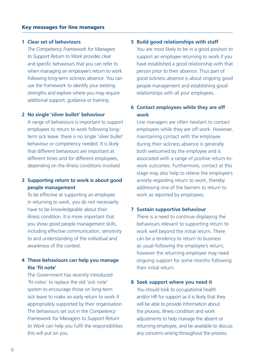#### **1 Clear set of behaviours**

 when managing an employee's return to work *The Competency Framework for Managers to Support Return to Work* provides clear and specific behaviours that you can refer to following long-term sickness absence. You can use the framework to identify your existing strengths and explore where you may require additional support, guidance or training.

#### **2 No single 'silver bullet' behaviour**

A range of behaviours is important to support employees to return to work following longterm sick leave: there is no single 'silver bullet' behaviour or competency needed. It is likely that different behaviours are important at different times and for different employees, depending on the illness conditions involved.

# **3 Supporting return to work is about good people management**

To be effective at supporting an employee in returning to work, you do not necessarily have to be knowledgeable about their illness condition. It is more important that you show good people management skills, including effective communication, sensitivity to and understanding of the individual and awareness of the context.

# **4 These behaviours can help you manage the 'fit note'**

The Government has recently introduced 'fit notes' to replace the old 'sick note' system to encourage those on long-term sick leave to make an early return to work if appropriately supported by their organisation. The behaviours set out in the *Competency Framework for Managers to Support Return to Work* can help you fulfil the responsibilities this will put on you.

#### **5 Build good relationships with staff**

You are most likely to be in a good position to support an employee returning to work if you have established a good relationship with that person prior to their absence. Thus part of good sickness absence is about ongoing good people management and establishing good relationships with all your employees.

### **6 Contact employees while they are off work**

Line managers are often hesitant to contact employees while they are off work. However, maintaining contact with the employee during their sickness absence is generally both welcomed by the employee and is associated with a range of positive return-towork outcomes. Furthermore, contact at this stage may also help to relieve the employee's anxiety regarding return to work, thereby addressing one of the barriers to return to work as reported by employees.

#### **7 Sustain supportive behaviour**

There is a need to continue displaying the behaviours relevant to supporting return to work well beyond the initial return. There can be a tendency to return to business as usual following the employee's return; however the returning employee may need ongoing support for some months following their initial return.

#### **8 Seek support where you need it**

 the process, illness condition and work You should look to occupational health and/or HR for support as it is likely that they will be able to provide information about adjustments to help manage the absent or returning employee, and be available to discuss any concerns arising throughout the process.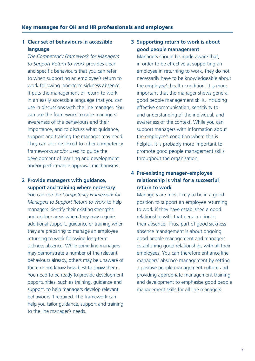# **1 Clear set of behaviours in accessible language**

support and training the manager may need. *The Competency Framework for Managers to Support Return to Work* provides clear and specific behaviours that you can refer to when supporting an employee's return to work following long-term sickness absence. It puts the management of return to work in an easily accessible language that you can use in discussions with the line manager. You can use the framework to raise managers' awareness of the behaviours and their importance, and to discuss what guidance, They can also be linked to other competency frameworks and/or used to guide the development of learning and development and/or performance appraisal mechanisms.

# **2 Provide managers with guidance, support and training where necessary**

 and explore areas where they may require they are preparing to manage an employee You can use the *Competency Framework for Managers to Support Return to Work* to help managers identify their existing strengths additional support, guidance or training when returning to work following long-term sickness absence. While some line managers may demonstrate a number of the relevant behaviours already, others may be unaware of them or not know how best to show them. You need to be ready to provide development opportunities, such as training, guidance and support, to help managers develop relevant behaviours if required. The framework can help you tailor guidance, support and training to the line manager's needs.

# **3 Supporting return to work is about good people management**

Managers should be made aware that, in order to be effective at supporting an employee in returning to work, they do not necessarily have to be knowledgeable about the employee's health condition. It is more important that the manager shows general good people management skills, including effective communication, sensitivity to and understanding of the individual, and awareness of the context. While you can support managers with information about the employee's condition where this is helpful, it is probably more important to promote good people management skills throughout the organisation.

# **4 Pre-existing manager–employee relationship is vital for a successful return to work**

Managers are most likely to be in a good position to support an employee returning to work if they have established a good relationship with that person prior to their absence. Thus, part of good sickness absence management is about ongoing good people management and managers establishing good relationships with all their employees. You can therefore enhance line managers' absence management by setting a positive people management culture and providing appropriate management training and development to emphasise good people management skills for all line managers.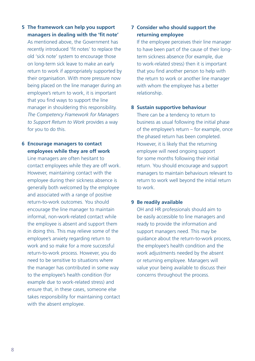- **5 The framework can help you support managers in dealing with the 'fit note'**  As mentioned above, the Government has recently introduced 'fit notes' to replace the old 'sick note' system to encourage those on long-term sick leave to make an early return to work if appropriately supported by their organisation. With more pressure now being placed on the line manager during an employee's return to work, it is important that you find ways to support the line manager in shouldering this responsibility. *The Competency Framework for Managers to Support Return to Work* provides a way for you to do this. **6 Encourage managers to contact**
- **employees while they are off work**

 However, maintaining contact with the generally both welcomed by the employee and associated with a range of positive informal, non-work-related contact while in doing this. This may relieve some of the need to be sensitive to situations where Line managers are often hesitant to contact employees while they are off work. employee during their sickness absence is return-to-work outcomes. You should encourage the line manager to maintain the employee is absent and support them employee's anxiety regarding return to work and so make for a more successful return-to-work process. However, you do the manager has contributed in some way to the employee's health condition (for example due to work-related stress) and ensure that, in these cases, someone else takes responsibility for maintaining contact with the absent employee.

# **7 Consider who should support the returning employee**

If the employee perceives their line manager to have been part of the cause of their longterm sickness absence (for example, due to work-related stress) then it is important that you find another person to help with the return to work or another line manager with whom the employee has a better relationship.

### **8 Sustain supportive behaviour**

There can be a tendency to return to business as usual following the initial phase of the employee's return – for example, once the phased return has been completed. However, it is likely that the returning employee will need ongoing support for some months following their initial return. You should encourage and support managers to maintain behaviours relevant to return to work well beyond the initial return to work.

#### **9 Be readily available**

 ready to provide the information and support managers need. This may be the employee's health condition and the or returning employee. Managers will OH and HR professionals should aim to be easily accessible to line managers and guidance about the return-to-work process, work adjustments needed by the absent value your being available to discuss their concerns throughout the process.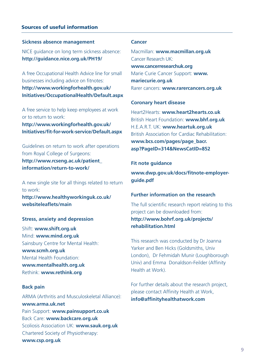### Sources of useful information

#### **Sickness absence management**

NICE guidance on long term sickness absence: **http://guidance.nice.org.uk/PH19/** 

 A free Occupational Health Advice line for small businesses including advice on fitnotes: **http://www.workingforhealth.gov.uk/ Initiatives/OccupationalHealth/Default.aspx** 

A free service to help keep employees at work or to return to work: **http://www.workingforhealth.gov.uk/** 

**Initiatives/fit-for-work-service/Default.aspx** 

Guidelines on return to work after operations from Royal College of Surgeons: **http://www.rcseng.ac.uk/patient\_ information/return-to-work/** 

A new single site for all things related to return to work: **http://www.healthyworkinguk.co.uk/** 

**websiteleaflets/main** 

#### **Stress, anxiety and depression**

Shift: **www.shift.org.uk**  Mind: **www.mind.org.uk**  Sainsbury Centre for Mental Health: **www.scmh.org.uk**  Mental Health Foundation: **www.mentalhealth.org.uk**  Rethink: **www.rethink.org** 

#### **Back pain**

ARMA (Arthritis and Musculoskeletal Alliance): **www.arma.uk.net**  Pain Support: **www.painsupport.co.uk**  Back Care: **www.backcare.org.uk**  Scoliosis Association UK: **www.sauk.org.uk**  Chartered Society of Physiotherapy: **www.csp.org.uk** 

#### **Cancer**

Macmillan: **www.macmillan.org.uk**  Cancer Research UK: **www.cancerresearchuk.org**  Marie Curie Cancer Support: **www. mariecurie.org.uk**  Rarer cancers: **www.rarercancers.org.uk** 

#### **Coronary heart disease**

Heart2Hearts: **www.heart2hearts.co.uk**  British Heart Foundation: **www.bhf.org.uk**  H.E.A.R.T. UK: **www.heartuk.org.uk**  British Association for Cardiac Rehabilitation: **www.bcs.com/pages/page\_bacr. asp?PageID=314&NewsCatID=852** 

#### **Fit note guidance**

**www.dwp.gov.uk/docs/fitnote-employerguide.pdf** 

### **Further information on the research**

The full scientific research report relating to this project can be downloaded from: **http://www.bohrf.org.uk/projects/ rehabilitation.html** 

This research was conducted by Dr Joanna Yarker and Ben Hicks (Goldsmiths, Univ London), Dr Fehmidah Munir (Loughborough Univ) and Emma Donaldson-Feilder (Affinity Health at Work).

For further details about the research project, please contact Affinity Health at Work, **info@affinityhealthatwork.com**